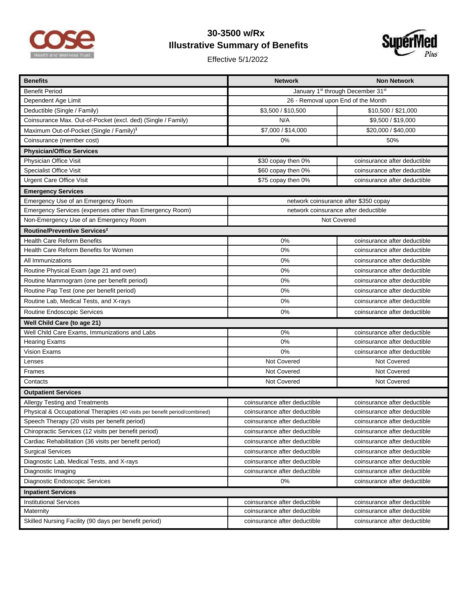

## **30-3500 w/Rx Illustrative Summary of Benefits**

Effective 5/1/2022



| <b>Benefits</b>                                                           | <b>Network</b>                        | <b>Non Network</b>           |  |
|---------------------------------------------------------------------------|---------------------------------------|------------------------------|--|
| <b>Benefit Period</b>                                                     | January 1st through December 31st     |                              |  |
| Dependent Age Limit                                                       | 26 - Removal upon End of the Month    |                              |  |
| Deductible (Single / Family)                                              | \$3,500 / \$10,500                    | \$10,500 / \$21,000          |  |
| Coinsurance Max. Out-of-Pocket (excl. ded) (Single / Family)              | N/A                                   | \$9,500 / \$19,000           |  |
| Maximum Out-of-Pocket (Single / Family) <sup>1</sup>                      | \$7,000 / \$14,000                    | \$20,000 / \$40,000          |  |
| Coinsurance (member cost)                                                 | 0%                                    | 50%                          |  |
| <b>Physician/Office Services</b>                                          |                                       |                              |  |
| Physician Office Visit                                                    | \$30 copay then 0%                    | coinsurance after deductible |  |
| <b>Specialist Office Visit</b>                                            | \$60 copay then 0%                    | coinsurance after deductible |  |
| <b>Urgent Care Office Visit</b>                                           | \$75 copay then 0%                    | coinsurance after deductible |  |
| <b>Emergency Services</b>                                                 |                                       |                              |  |
| Emergency Use of an Emergency Room                                        | network coinsurance after \$350 copay |                              |  |
| Emergency Services (expenses other than Emergency Room)                   | network coinsurance after deductible  |                              |  |
| Non-Emergency Use of an Emergency Room                                    | <b>Not Covered</b>                    |                              |  |
| Routine/Preventive Services <sup>2</sup>                                  |                                       |                              |  |
| <b>Health Care Reform Benefits</b>                                        | 0%                                    | coinsurance after deductible |  |
| Health Care Reform Benefits for Women                                     | 0%                                    | coinsurance after deductible |  |
| All Immunizations                                                         | 0%                                    | coinsurance after deductible |  |
| Routine Physical Exam (age 21 and over)                                   | 0%                                    | coinsurance after deductible |  |
| Routine Mammogram (one per benefit period)                                | 0%                                    | coinsurance after deductible |  |
| Routine Pap Test (one per benefit period)                                 | 0%                                    | coinsurance after deductible |  |
| Routine Lab, Medical Tests, and X-rays                                    | 0%                                    | coinsurance after deductible |  |
| Routine Endoscopic Services                                               | 0%                                    | coinsurance after deductible |  |
| Well Child Care (to age 21)                                               |                                       |                              |  |
| Well Child Care Exams, Immunizations and Labs                             | 0%                                    | coinsurance after deductible |  |
| <b>Hearing Exams</b>                                                      | 0%                                    | coinsurance after deductible |  |
| <b>Vision Exams</b>                                                       | 0%                                    | coinsurance after deductible |  |
| Lenses                                                                    | Not Covered                           | Not Covered                  |  |
| Frames                                                                    | Not Covered                           | Not Covered                  |  |
| Contacts                                                                  | Not Covered                           | Not Covered                  |  |
| <b>Outpatient Services</b>                                                |                                       |                              |  |
| <b>Allergy Testing and Treatments</b>                                     | coinsurance after deductible          | coinsurance after deductible |  |
| Physical & Occupational Therapies (40 visits per benefit period/combined) | coinsurance after deductible          | coinsurance after deductible |  |
| Speech Therapy (20 visits per benefit period)                             | coinsurance after deductible          | coinsurance after deductible |  |
| Chiropractic Services (12 visits per benefit period)                      | coinsurance after deductible          | coinsurance after deductible |  |
| Cardiac Rehabilitation (36 visits per benefit period)                     | coinsurance after deductible          | coinsurance after deductible |  |
| <b>Surgical Services</b>                                                  | coinsurance after deductible          | coinsurance after deductible |  |
| Diagnostic Lab, Medical Tests, and X-rays                                 | coinsurance after deductible          | coinsurance after deductible |  |
| Diagnostic Imaging                                                        | coinsurance after deductible          | coinsurance after deductible |  |
| Diagnostic Endoscopic Services                                            | 0%                                    | coinsurance after deductible |  |
| <b>Inpatient Services</b>                                                 |                                       |                              |  |
| <b>Institutional Services</b>                                             | coinsurance after deductible          | coinsurance after deductible |  |
| Maternity                                                                 | coinsurance after deductible          | coinsurance after deductible |  |
| Skilled Nursing Facility (90 days per benefit period)                     | coinsurance after deductible          | coinsurance after deductible |  |
|                                                                           |                                       |                              |  |